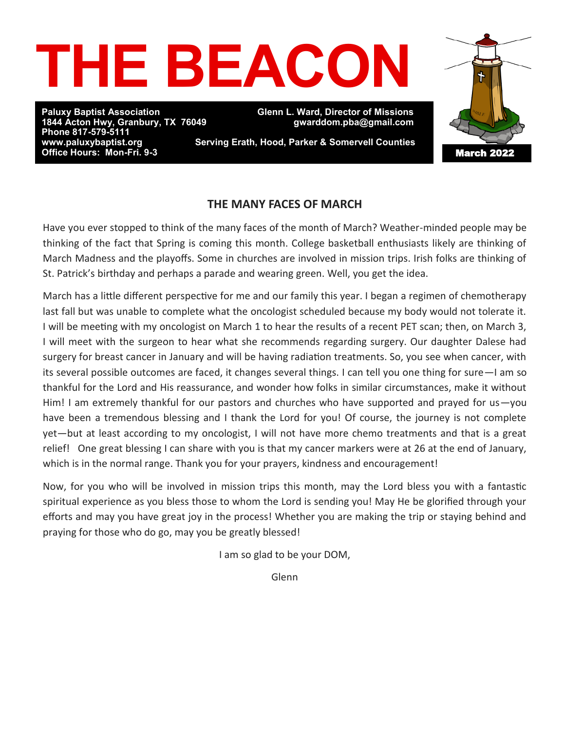

**Paluxy Baptist Association Glenn L. Ward, Director of Missions Phone 817-579-5111 Office Hours: Mon-Fri. 9-3** 

**1844 Acton Hwy, Granbury, TX 76049 gwarddom.pba@gmail.com** 

**Serving Erath, Hood, Parker & Somervell Counties** 

# March 2022

## **THE MANY FACES OF MARCH**

Have you ever stopped to think of the many faces of the month of March? Weather-minded people may be thinking of the fact that Spring is coming this month. College basketball enthusiasts likely are thinking of March Madness and the playoffs. Some in churches are involved in mission trips. Irish folks are thinking of St. Patrick's birthday and perhaps a parade and wearing green. Well, you get the idea.

March has a little different perspective for me and our family this year. I began a regimen of chemotherapy last fall but was unable to complete what the oncologist scheduled because my body would not tolerate it. I will be meeting with my oncologist on March 1 to hear the results of a recent PET scan; then, on March 3, I will meet with the surgeon to hear what she recommends regarding surgery. Our daughter Dalese had surgery for breast cancer in January and will be having radiation treatments. So, you see when cancer, with its several possible outcomes are faced, it changes several things. I can tell you one thing for sure—I am so thankful for the Lord and His reassurance, and wonder how folks in similar circumstances, make it without Him! I am extremely thankful for our pastors and churches who have supported and prayed for us—you have been a tremendous blessing and I thank the Lord for you! Of course, the journey is not complete yet—but at least according to my oncologist, I will not have more chemo treatments and that is a great relief! One great blessing I can share with you is that my cancer markers were at 26 at the end of January, which is in the normal range. Thank you for your prayers, kindness and encouragement!

Now, for you who will be involved in mission trips this month, may the Lord bless you with a fantastic spiritual experience as you bless those to whom the Lord is sending you! May He be glorified through your efforts and may you have great joy in the process! Whether you are making the trip or staying behind and praying for those who do go, may you be greatly blessed!

I am so glad to be your DOM,

Glenn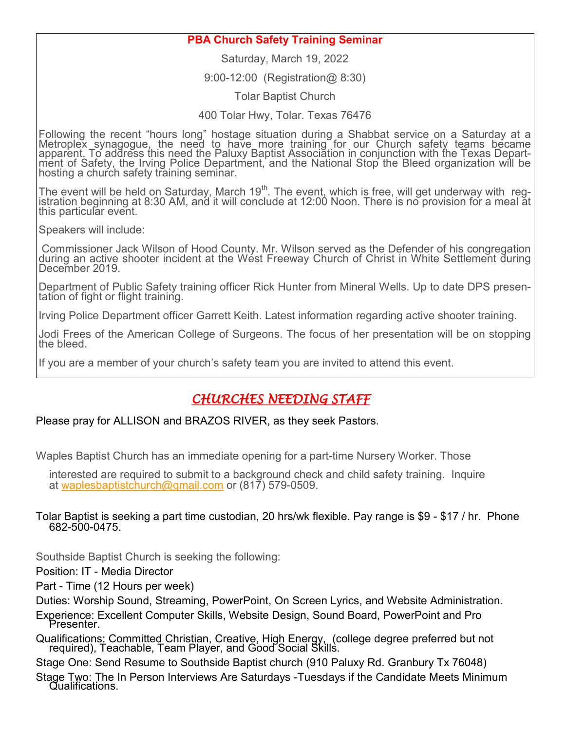### **PBA Church Safety Training Seminar**

Saturday, March 19, 2022

9:00-12:00 (Registration@ 8:30)

Tolar Baptist Church

400 Tolar Hwy, Tolar. Texas 76476

Following the recent "hours long" hostage situation during a Shabbat service on a Saturday at a Metroplex synagogue, the need to have more training for our Church safety teams became apparent. To address this need the Paluxy Baptist Association in conjunction with the Texas Department of Safety, the Irving Police Department, and the National Stop the Bleed organization will be hosting a church safety training seminar.

The event will be held on Saturday, March 19<sup>th</sup>. The event, which is free, will get underway with registration beginning at 8:30 AM, and it will conclude at 12:00 Noon. There is no provision for a meal at this particular event.

Speakers will include:

Commissioner Jack Wilson of Hood County. Mr. Wilson served as the Defender of his congregation during an active shooter incident at the West Freeway Church of Christ in White Settlement during December 2019.

Department of Public Safety training officer Rick Hunter from Mineral Wells. Up to date DPS presentation of fight or flight training.

Irving Police Department officer Garrett Keith. Latest information regarding active shooter training.

Jodi Frees of the American College of Surgeons. The focus of her presentation will be on stopping the bleed.

If you are a member of your church's safety team you are invited to attend this event.

# *CHURCHES NEEDING STAFF*

#### Please pray for ALLISON and BRAZOS RIVER, as they seek Pastors.

Waples Baptist Church has an immediate opening for a part-time Nursery Worker. Those

interested are required to submit to a background check and child safety training. Inquire at [waplesbaptistchurch@gmail.com](mailto:waplesbaptistchurch@gmail.com) or (817) 579-0509.

#### Tolar Baptist is seeking a part time custodian, 20 hrs/wk flexible. Pay range is \$9 - \$17 / hr. Phone 682-500-0475.

Southside Baptist Church is seeking the following:

Position: IT - Media Director

Part - Time (12 Hours per week)

Duties: Worship Sound, Streaming, PowerPoint, On Screen Lyrics, and Website Administration.

Experience: Excellent Computer Skills, Website Design, Sound Board, PowerPoint and Pro Presenter.

Qualifications: Committed Christian, Creative, High Energy, (college degree preferred but not required), Teachable, Team Player, and Good Social Skills.

Stage One: Send Resume to Southside Baptist church (910 Paluxy Rd. Granbury Tx 76048)

Stage Two: The In Person Interviews Are Saturdays -Tuesdays if the Candidate Meets Minimum Qualifications.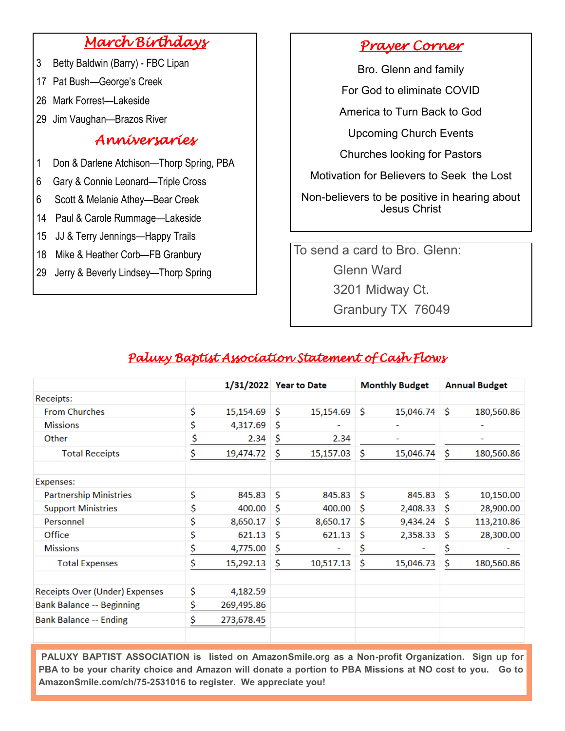# *March Birthdays*

- 3 Betty Baldwin (Barry) FBC Lipan
- 17 Pat Bush—George's Creek
- 26 Mark Forrest—Lakeside
- 29 Jim Vaughan—Brazos River

## *Anniversaries*

- 1 Don & Darlene Atchison—Thorp Spring, PBA
- 6 Gary & Connie Leonard—Triple Cross
- 6 Scott & Melanie Athey—Bear Creek
- 14 Paul & Carole Rummage—Lakeside
- 15 JJ & Terry Jennings—Happy Trails
- 18 Mike & Heather Corb—FB Granbury
- 29 Jerry & Beverly Lindsey—Thorp Spring

# *Prayer Corner*

Bro. Glenn and family

For God to eliminate COVID

America to Turn Back to God

Upcoming Church Events

Churches looking for Pastors

Motivation for Believers to Seek the Lost

Non-believers to be positive in hearing about Jesus Christ

To send a card to Bro. Glenn: Glenn Ward 3201 Midway Ct. Granbury TX 76049

## *Paluxy Baptist Association Statement of Cash Flows*

|                                  |    |            | 1/31/2022 Year to Date |           | <b>Monthly Budget</b> |                          | <b>Annual Budget</b> |            |
|----------------------------------|----|------------|------------------------|-----------|-----------------------|--------------------------|----------------------|------------|
| Receipts:                        |    |            |                        |           |                       |                          |                      |            |
| <b>From Churches</b>             | \$ | 15,154.69  | \$                     | 15,154.69 | \$                    | 15,046.74                | S.                   | 180,560.86 |
| <b>Missions</b>                  | \$ | 4,317.69   | \$                     |           |                       | $\overline{\phantom{0}}$ |                      | -          |
| Other                            | \$ | 2.34       | \$                     | 2.34      |                       | ۰                        |                      |            |
| <b>Total Receipts</b>            | \$ | 19,474.72  | \$                     | 15,157.03 | \$                    | 15,046.74                | \$                   | 180,560.86 |
| Expenses:                        |    |            |                        |           |                       |                          |                      |            |
| <b>Partnership Ministries</b>    | \$ | 845.83     | \$                     | 845.83    | \$                    | 845.83                   | <b>S</b>             | 10,150.00  |
| <b>Support Ministries</b>        | \$ | 400.00     | Ś                      | 400.00    | \$                    | 2,408.33                 | <b>S</b>             | 28,900.00  |
| Personnel                        | \$ | 8,650.17   | \$                     | 8,650.17  | \$                    | 9,434.24                 | \$                   | 113,210.86 |
| Office                           | \$ | 621.13     | \$                     | 621.13    | \$                    | 2,358.33                 | \$                   | 28,300.00  |
| <b>Missions</b>                  | \$ | 4,775.00   | \$                     |           | \$                    |                          | \$                   |            |
| <b>Total Expenses</b>            | \$ | 15,292.13  | \$                     | 10,517.13 | \$                    | 15,046.73                | \$                   | 180,560.86 |
| Receipts Over (Under) Expenses   | \$ | 4,182.59   |                        |           |                       |                          |                      |            |
| <b>Bank Balance -- Beginning</b> | \$ | 269,495.86 |                        |           |                       |                          |                      |            |
| <b>Bank Balance -- Ending</b>    | \$ | 273,678.45 |                        |           |                       |                          |                      |            |

**PALUXY BAPTIST ASSOCIATION is listed on AmazonSmile.org as a Non-profit Organization. Sign up for PBA to be your charity choice and Amazon will donate a portion to PBA Missions at NO cost to you. Go to AmazonSmile.com/ch/75-2531016 to register. We appreciate you!**